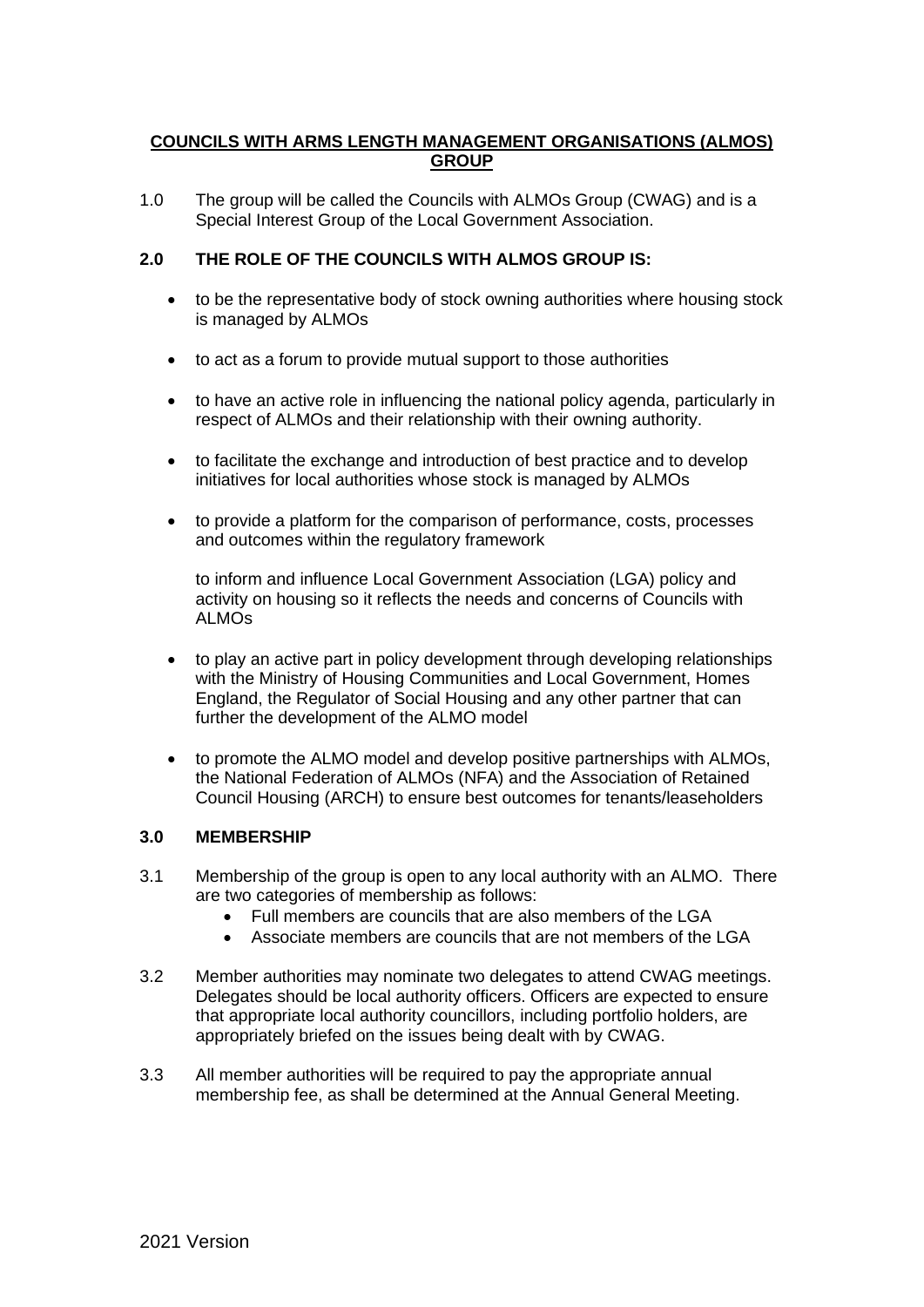# **COUNCILS WITH ARMS LENGTH MANAGEMENT ORGANISATIONS (ALMOS) GROUP**

1.0 The group will be called the Councils with ALMOs Group (CWAG) and is a Special Interest Group of the Local Government Association.

# **2.0 THE ROLE OF THE COUNCILS WITH ALMOS GROUP IS:**

- to be the representative body of stock owning authorities where housing stock is managed by ALMOs
- to act as a forum to provide mutual support to those authorities
- to have an active role in influencing the national policy agenda, particularly in respect of ALMOs and their relationship with their owning authority.
- to facilitate the exchange and introduction of best practice and to develop initiatives for local authorities whose stock is managed by ALMOs
- to provide a platform for the comparison of performance, costs, processes and outcomes within the regulatory framework

to inform and influence Local Government Association (LGA) policy and activity on housing so it reflects the needs and concerns of Councils with ALMOs

- to play an active part in policy development through developing relationships with the Ministry of Housing Communities and Local Government, Homes England, the Regulator of Social Housing and any other partner that can further the development of the ALMO model
- to promote the ALMO model and develop positive partnerships with ALMOs, the National Federation of ALMOs (NFA) and the Association of Retained Council Housing (ARCH) to ensure best outcomes for tenants/leaseholders

## **3.0 MEMBERSHIP**

- 3.1 Membership of the group is open to any local authority with an ALMO. There are two categories of membership as follows:
	- Full members are councils that are also members of the LGA
	- Associate members are councils that are not members of the LGA
- 3.2 Member authorities may nominate two delegates to attend CWAG meetings. Delegates should be local authority officers. Officers are expected to ensure that appropriate local authority councillors, including portfolio holders, are appropriately briefed on the issues being dealt with by CWAG.
- 3.3 All member authorities will be required to pay the appropriate annual membership fee, as shall be determined at the Annual General Meeting.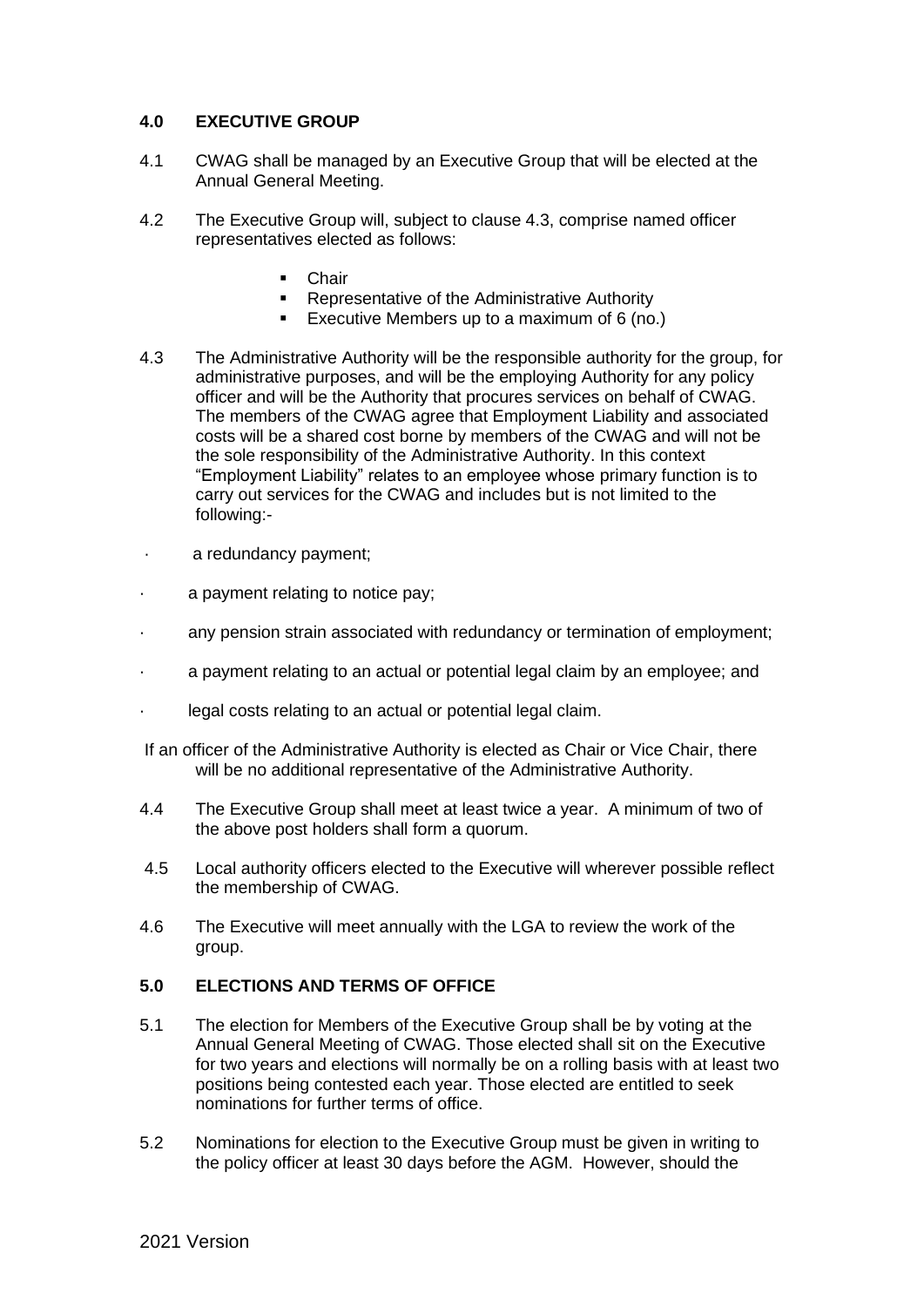## **4.0 EXECUTIVE GROUP**

- 4.1 CWAG shall be managed by an Executive Group that will be elected at the Annual General Meeting.
- 4.2 The Executive Group will, subject to clause 4.3, comprise named officer representatives elected as follows:
	- **Chair**
	- Representative of the Administrative Authority
	- Executive Members up to a maximum of 6 (no.)
- 4.3 The Administrative Authority will be the responsible authority for the group, for administrative purposes, and will be the employing Authority for any policy officer and will be the Authority that procures services on behalf of CWAG. The members of the CWAG agree that Employment Liability and associated costs will be a shared cost borne by members of the CWAG and will not be the sole responsibility of the Administrative Authority. In this context "Employment Liability" relates to an employee whose primary function is to carry out services for the CWAG and includes but is not limited to the following:-
- · a redundancy payment;
- · a payment relating to notice pay;
- · any pension strain associated with redundancy or termination of employment;
- a payment relating to an actual or potential legal claim by an employee; and
- legal costs relating to an actual or potential legal claim.
- If an officer of the Administrative Authority is elected as Chair or Vice Chair, there will be no additional representative of the Administrative Authority.
- 4.4 The Executive Group shall meet at least twice a year. A minimum of two of the above post holders shall form a quorum.
- 4.5 Local authority officers elected to the Executive will wherever possible reflect the membership of CWAG.
- 4.6 The Executive will meet annually with the LGA to review the work of the group.

## **5.0 ELECTIONS AND TERMS OF OFFICE**

- 5.1 The election for Members of the Executive Group shall be by voting at the Annual General Meeting of CWAG. Those elected shall sit on the Executive for two years and elections will normally be on a rolling basis with at least two positions being contested each year. Those elected are entitled to seek nominations for further terms of office.
- 5.2 Nominations for election to the Executive Group must be given in writing to the policy officer at least 30 days before the AGM. However, should the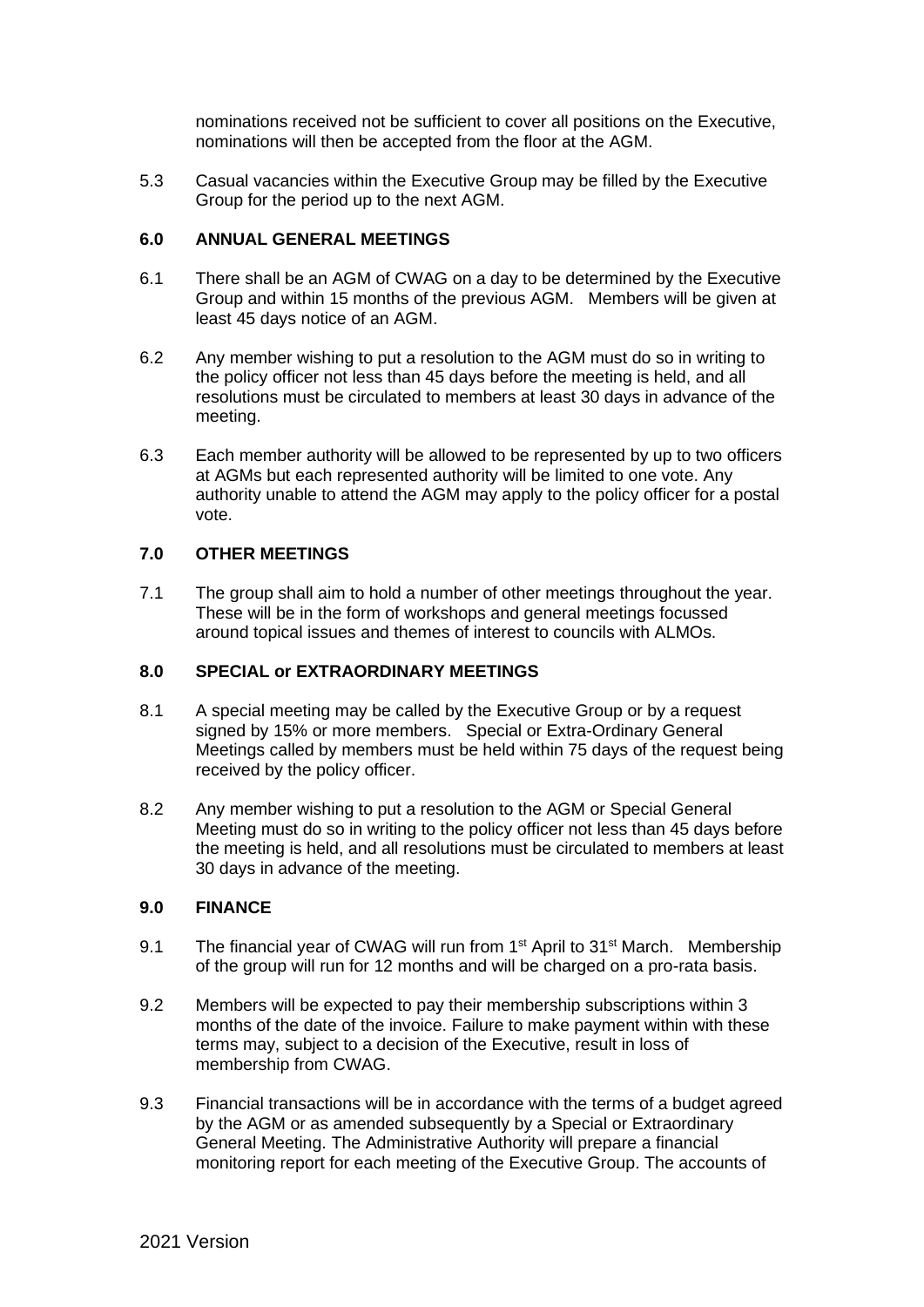nominations received not be sufficient to cover all positions on the Executive, nominations will then be accepted from the floor at the AGM.

5.3 Casual vacancies within the Executive Group may be filled by the Executive Group for the period up to the next AGM.

#### **6.0 ANNUAL GENERAL MEETINGS**

- 6.1 There shall be an AGM of CWAG on a day to be determined by the Executive Group and within 15 months of the previous AGM. Members will be given at least 45 days notice of an AGM.
- 6.2 Any member wishing to put a resolution to the AGM must do so in writing to the policy officer not less than 45 days before the meeting is held, and all resolutions must be circulated to members at least 30 days in advance of the meeting.
- 6.3 Each member authority will be allowed to be represented by up to two officers at AGMs but each represented authority will be limited to one vote. Any authority unable to attend the AGM may apply to the policy officer for a postal vote.

#### **7.0 OTHER MEETINGS**

7.1 The group shall aim to hold a number of other meetings throughout the year. These will be in the form of workshops and general meetings focussed around topical issues and themes of interest to councils with ALMOs.

#### **8.0 SPECIAL or EXTRAORDINARY MEETINGS**

- 8.1 A special meeting may be called by the Executive Group or by a request signed by 15% or more members. Special or Extra-Ordinary General Meetings called by members must be held within 75 days of the request being received by the policy officer.
- 8.2 Any member wishing to put a resolution to the AGM or Special General Meeting must do so in writing to the policy officer not less than 45 days before the meeting is held, and all resolutions must be circulated to members at least 30 days in advance of the meeting.

## **9.0 FINANCE**

- 9.1 The financial year of CWAG will run from 1<sup>st</sup> April to 31<sup>st</sup> March. Membership of the group will run for 12 months and will be charged on a pro-rata basis.
- 9.2 Members will be expected to pay their membership subscriptions within 3 months of the date of the invoice. Failure to make payment within with these terms may, subject to a decision of the Executive, result in loss of membership from CWAG.
- 9.3 Financial transactions will be in accordance with the terms of a budget agreed by the AGM or as amended subsequently by a Special or Extraordinary General Meeting. The Administrative Authority will prepare a financial monitoring report for each meeting of the Executive Group. The accounts of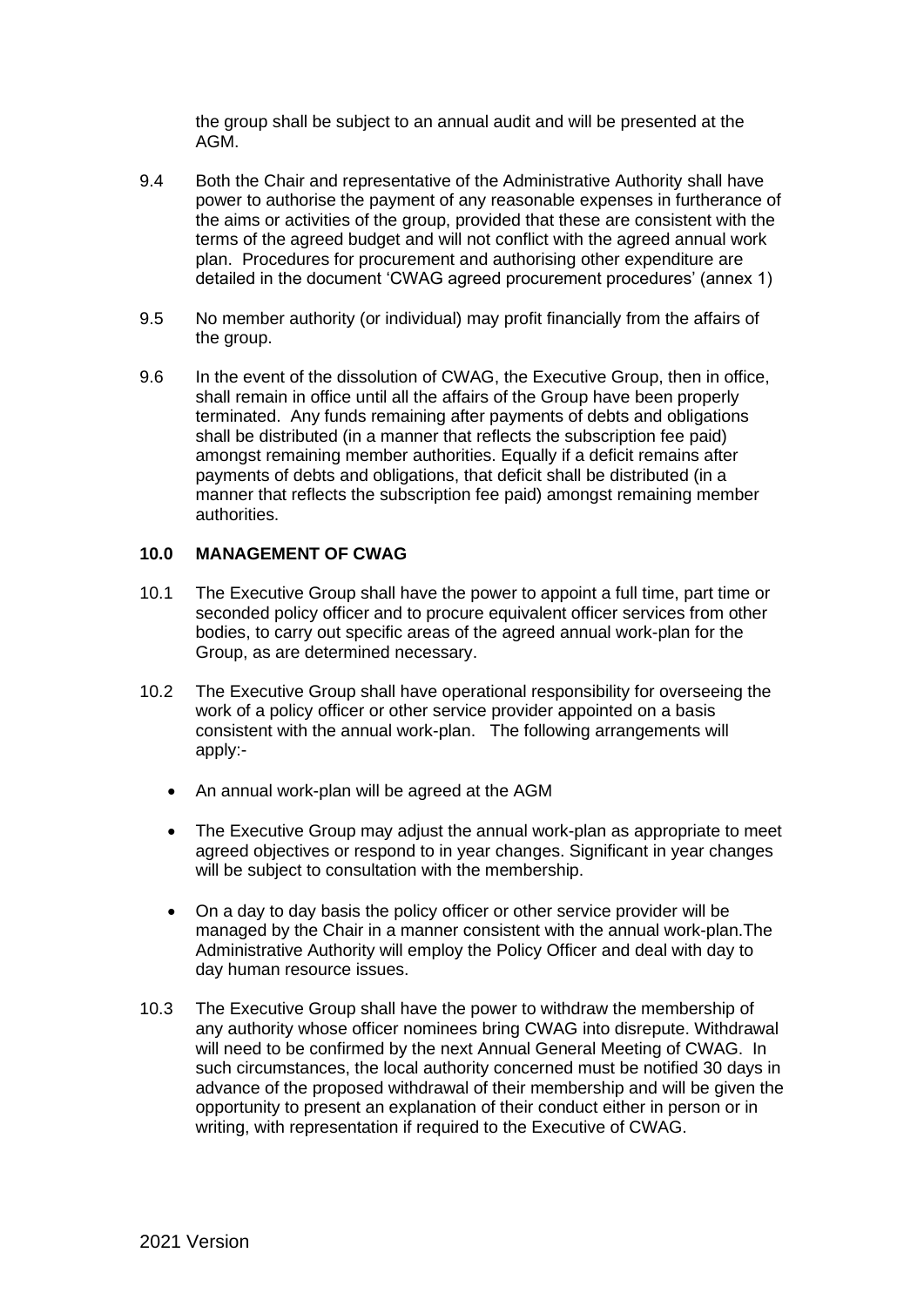the group shall be subject to an annual audit and will be presented at the AGM.

- 9.4 Both the Chair and representative of the Administrative Authority shall have power to authorise the payment of any reasonable expenses in furtherance of the aims or activities of the group, provided that these are consistent with the terms of the agreed budget and will not conflict with the agreed annual work plan. Procedures for procurement and authorising other expenditure are detailed in the document 'CWAG agreed procurement procedures' (annex 1)
- 9.5 No member authority (or individual) may profit financially from the affairs of the group.
- 9.6 In the event of the dissolution of CWAG, the Executive Group, then in office, shall remain in office until all the affairs of the Group have been properly terminated. Any funds remaining after payments of debts and obligations shall be distributed (in a manner that reflects the subscription fee paid) amongst remaining member authorities. Equally if a deficit remains after payments of debts and obligations, that deficit shall be distributed (in a manner that reflects the subscription fee paid) amongst remaining member authorities.

## **10.0 MANAGEMENT OF CWAG**

- 10.1 The Executive Group shall have the power to appoint a full time, part time or seconded policy officer and to procure equivalent officer services from other bodies, to carry out specific areas of the agreed annual work-plan for the Group, as are determined necessary.
- 10.2 The Executive Group shall have operational responsibility for overseeing the work of a policy officer or other service provider appointed on a basis consistent with the annual work-plan. The following arrangements will apply:-
	- An annual work-plan will be agreed at the AGM
	- The Executive Group may adjust the annual work-plan as appropriate to meet agreed objectives or respond to in year changes. Significant in year changes will be subject to consultation with the membership.
	- On a day to day basis the policy officer or other service provider will be managed by the Chair in a manner consistent with the annual work-plan.The Administrative Authority will employ the Policy Officer and deal with day to day human resource issues.
- 10.3 The Executive Group shall have the power to withdraw the membership of any authority whose officer nominees bring CWAG into disrepute. Withdrawal will need to be confirmed by the next Annual General Meeting of CWAG. In such circumstances, the local authority concerned must be notified 30 days in advance of the proposed withdrawal of their membership and will be given the opportunity to present an explanation of their conduct either in person or in writing, with representation if required to the Executive of CWAG.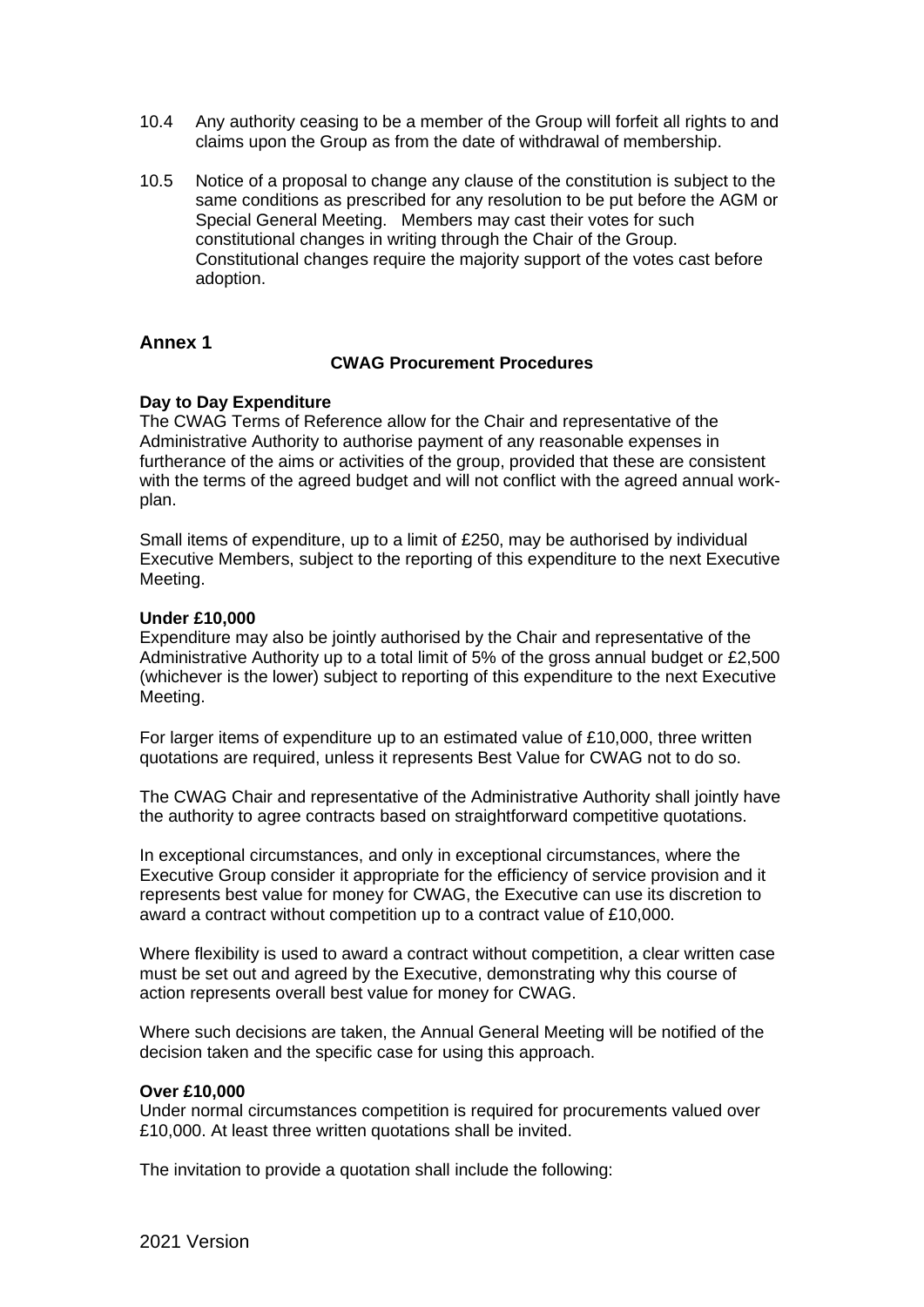- 10.4 Any authority ceasing to be a member of the Group will forfeit all rights to and claims upon the Group as from the date of withdrawal of membership.
- 10.5 Notice of a proposal to change any clause of the constitution is subject to the same conditions as prescribed for any resolution to be put before the AGM or Special General Meeting. Members may cast their votes for such constitutional changes in writing through the Chair of the Group. Constitutional changes require the majority support of the votes cast before adoption.

## **Annex 1**

#### **CWAG Procurement Procedures**

#### **Day to Day Expenditure**

The CWAG Terms of Reference allow for the Chair and representative of the Administrative Authority to authorise payment of any reasonable expenses in furtherance of the aims or activities of the group, provided that these are consistent with the terms of the agreed budget and will not conflict with the agreed annual workplan.

Small items of expenditure, up to a limit of £250, may be authorised by individual Executive Members, subject to the reporting of this expenditure to the next Executive Meeting.

#### **Under £10,000**

Expenditure may also be jointly authorised by the Chair and representative of the Administrative Authority up to a total limit of 5% of the gross annual budget or £2,500 (whichever is the lower) subject to reporting of this expenditure to the next Executive Meeting.

For larger items of expenditure up to an estimated value of £10,000, three written quotations are required, unless it represents Best Value for CWAG not to do so.

The CWAG Chair and representative of the Administrative Authority shall jointly have the authority to agree contracts based on straightforward competitive quotations.

In exceptional circumstances, and only in exceptional circumstances, where the Executive Group consider it appropriate for the efficiency of service provision and it represents best value for money for CWAG, the Executive can use its discretion to award a contract without competition up to a contract value of £10,000.

Where flexibility is used to award a contract without competition, a clear written case must be set out and agreed by the Executive, demonstrating why this course of action represents overall best value for money for CWAG.

Where such decisions are taken, the Annual General Meeting will be notified of the decision taken and the specific case for using this approach.

#### **Over £10,000**

Under normal circumstances competition is required for procurements valued over £10,000. At least three written quotations shall be invited.

The invitation to provide a quotation shall include the following: